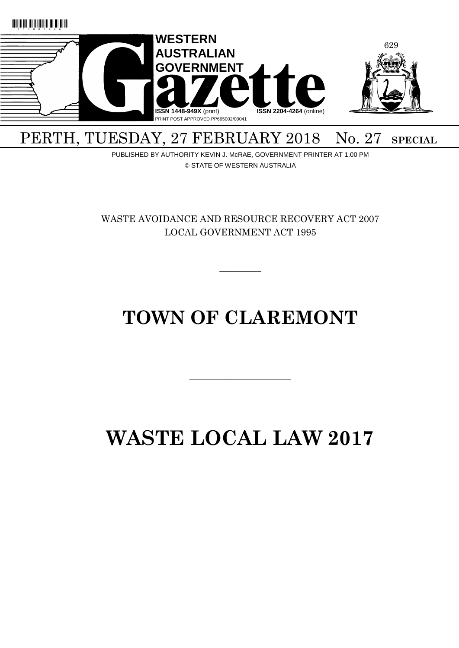

## PERTH, TUESDAY, 27 FEBRUARY 2018 No. 27 SPECIAL

PUBLISHED BY AUTHORITY KEVIN J. McRAE, GOVERNMENT PRINTER AT 1.00 PM © STATE OF WESTERN AUSTRALIA

WASTE AVOIDANCE AND RESOURCE RECOVERY ACT 2007 LOCAL GOVERNMENT ACT 1995

 $\overline{\phantom{a}}$ 

## **TOWN OF CLAREMONT**

 $\overline{\phantom{a}}$  , and the contract of the contract of the contract of the contract of the contract of the contract of the contract of the contract of the contract of the contract of the contract of the contract of the contrac

# **WASTE LOCAL LAW 2017**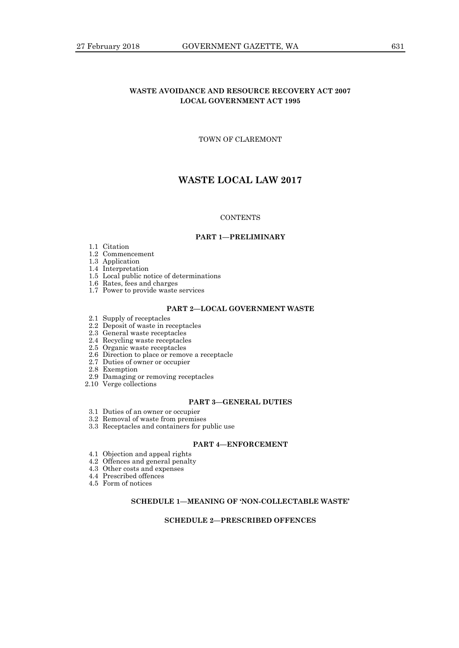## **WASTE AVOIDANCE AND RESOURCE RECOVERY ACT 2007 LOCAL GOVERNMENT ACT 1995**

## TOWN OF CLAREMONT

## **WASTE LOCAL LAW 2017**

#### **CONTENTS**

#### **PART 1—PRELIMINARY**

- 1.1 Citation
- 1.2 Commencement
- 1.3 Application
- 1.4 Interpretation
- 1.5 Local public notice of determinations
- 1.6 Rates, fees and charges
- 1.7 Power to provide waste services

### **PART 2—LOCAL GOVERNMENT WASTE**

- 2.1 Supply of receptacles
- 2.2 Deposit of waste in receptacles
- 2.3 General waste receptacles
- 2.4 Recycling waste receptacles
- 2.5 Organic waste receptacles
- 2.6 Direction to place or remove a receptacle
- 2.7 Duties of owner or occupier
- 2.8 Exemption
- 2.9 Damaging or removing receptacles
- 2.10 Verge collections

#### **PART 3—GENERAL DUTIES**

- 3.1 Duties of an owner or occupier
- 3.2 Removal of waste from premises
- 3.3 Receptacles and containers for public use

## **PART 4—ENFORCEMENT**

- 4.1 Objection and appeal rights
- 4.2 Offences and general penalty
- 4.3 Other costs and expenses
- 4.4 Prescribed offences
- 4.5 Form of notices

## **SCHEDULE 1—MEANING OF 'NON-COLLECTABLE WASTE'**

#### **SCHEDULE 2—PRESCRIBED OFFENCES**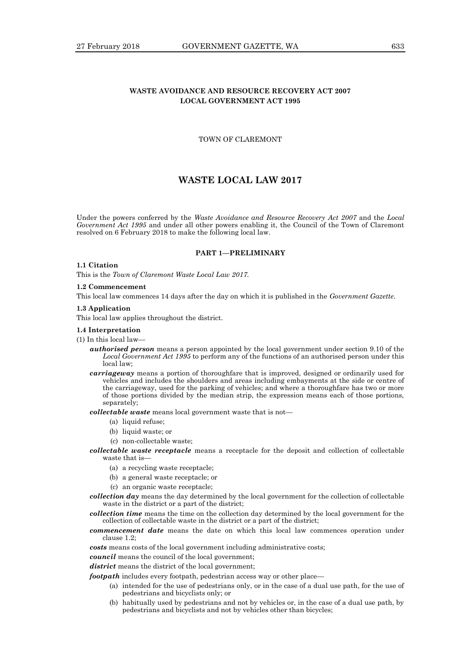## **WASTE AVOIDANCE AND RESOURCE RECOVERY ACT 2007 LOCAL GOVERNMENT ACT 1995**

## TOWN OF CLAREMONT

## **WASTE LOCAL LAW 2017**

Under the powers conferred by the *Waste Avoidance and Resource Recovery Act 2007* and the *Local Government Act 1995* and under all other powers enabling it, the Council of the Town of Claremont resolved on 6 February 2018 to make the following local law.

#### **PART 1—PRELIMINARY**

#### **1.1 Citation**

This is the *Town of Claremont Waste Local Law 2017.*

#### **1.2 Commencement**

This local law commences 14 days after the day on which it is published in the *Government Gazette*.

#### **1.3 Application**

This local law applies throughout the district.

#### **1.4 Interpretation**

(1) In this local law—

- *authorised person* means a person appointed by the local government under section 9.10 of the *Local Government Act 1995* to perform any of the functions of an authorised person under this local law;
- *carriageway* means a portion of thoroughfare that is improved, designed or ordinarily used for vehicles and includes the shoulders and areas including embayments at the side or centre of the carriageway, used for the parking of vehicles; and where a thoroughfare has two or more of those portions divided by the median strip, the expression means each of those portions, separately:

*collectable waste* means local government waste that is not—

- (a) liquid refuse;
- (b) liquid waste; or
- (c) non-collectable waste;
- *collectable waste receptacle* means a receptacle for the deposit and collection of collectable waste that is-
	- (a) a recycling waste receptacle;
	- (b) a general waste receptacle; or
	- (c) an organic waste receptacle;
- *collection day* means the day determined by the local government for the collection of collectable waste in the district or a part of the district;

*collection time* means the time on the collection day determined by the local government for the collection of collectable waste in the district or a part of the district;

*commencement date* means the date on which this local law commences operation under clause 1.2;

*costs* means costs of the local government including administrative costs;

*council* means the council of the local government;

*district* means the district of the local government;

*footpath* includes every footpath, pedestrian access way or other place—

- (a) intended for the use of pedestrians only, or in the case of a dual use path, for the use of pedestrians and bicyclists only; or
- (b) habitually used by pedestrians and not by vehicles or, in the case of a dual use path, by pedestrians and bicyclists and not by vehicles other than bicycles;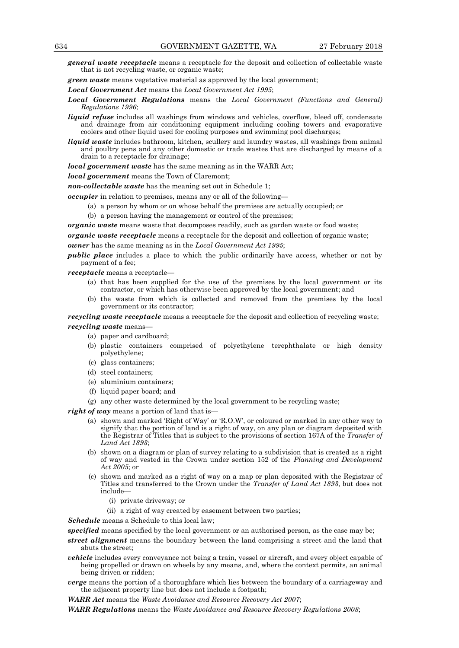*general waste receptacle* means a receptacle for the deposit and collection of collectable waste that is not recycling waste, or organic waste;

*green waste* means vegetative material as approved by the local government;

*Local Government Act* means the *Local Government Act 1995*;

- *Local Government Regulations* means the *Local Government (Functions and General) Regulations 1996*;
- *liquid refuse* includes all washings from windows and vehicles, overflow, bleed off, condensate and drainage from air conditioning equipment including cooling towers and evaporative coolers and other liquid used for cooling purposes and swimming pool discharges;
- *liquid waste* includes bathroom, kitchen, scullery and laundry wastes, all washings from animal and poultry pens and any other domestic or trade wastes that are discharged by means of a drain to a receptacle for drainage;

*local government waste* has the same meaning as in the WARR Act;

*local government* means the Town of Claremont;

*non-collectable waste* has the meaning set out in Schedule 1;

*occupier* in relation to premises, means any or all of the following—

- (a) a person by whom or on whose behalf the premises are actually occupied; or
- (b) a person having the management or control of the premises;

*organic waste* means waste that decomposes readily, such as garden waste or food waste;

*organic waste receptacle* means a receptacle for the deposit and collection of organic waste;

*owner* has the same meaning as in the *Local Government Act 1995*;

*public place* includes a place to which the public ordinarily have access, whether or not by payment of a fee;

*receptacle* means a receptacle—

- (a) that has been supplied for the use of the premises by the local government or its contractor, or which has otherwise been approved by the local government; and
- (b) the waste from which is collected and removed from the premises by the local government or its contractor;

*recycling waste receptacle* means a receptacle for the deposit and collection of recycling waste;

*recycling waste* means—

- (a) paper and cardboard;
- (b) plastic containers comprised of polyethylene terephthalate or high density polyethylene;
- (c) glass containers;
- (d) steel containers;
- (e) aluminium containers;
- (f) liquid paper board; and
- (g) any other waste determined by the local government to be recycling waste;

*right of way* means a portion of land that is—

- (a) shown and marked 'Right of Way' or 'R.O.W', or coloured or marked in any other way to signify that the portion of land is a right of way, on any plan or diagram deposited with the Registrar of Titles that is subject to the provisions of section 167A of the *Transfer of Land Act 1893*;
- (b) shown on a diagram or plan of survey relating to a subdivision that is created as a right of way and vested in the Crown under section 152 of the *Planning and Development Act 2005*; or
- (c) shown and marked as a right of way on a map or plan deposited with the Registrar of Titles and transferred to the Crown under the *Transfer of Land Act 1893*, but does not include—
	- (i) private driveway; or
	- (ii) a right of way created by easement between two parties;

*Schedule* means a Schedule to this local law;

*specified* means specified by the local government or an authorised person, as the case may be;

- *street alignment* means the boundary between the land comprising a street and the land that abuts the street;
- *vehicle* includes every conveyance not being a train, vessel or aircraft, and every object capable of being propelled or drawn on wheels by any means, and, where the context permits, an animal being driven or ridden;
- *verge* means the portion of a thoroughfare which lies between the boundary of a carriageway and the adjacent property line but does not include a footpath;

*WARR Act* means the *Waste Avoidance and Resource Recovery Act 2007*;

*WARR Regulations* means the *Waste Avoidance and Resource Recovery Regulations 2008*;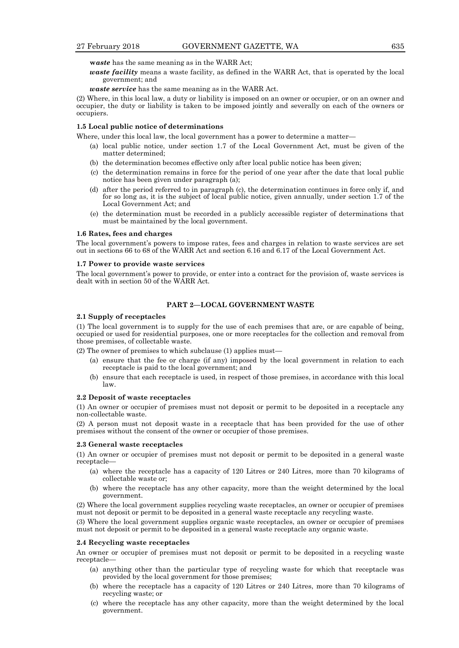**w***aste* has the same meaning as in the WARR Act;

*waste facility* means a waste facility, as defined in the WARR Act, that is operated by the local government; and

*waste service* has the same meaning as in the WARR Act.

(2) Where, in this local law, a duty or liability is imposed on an owner or occupier, or on an owner and occupier, the duty or liability is taken to be imposed jointly and severally on each of the owners or occupiers.

#### **1.5 Local public notice of determinations**

Where, under this local law, the local government has a power to determine a matter—

- (a) local public notice, under section 1.7 of the Local Government Act, must be given of the matter determined;
- (b) the determination becomes effective only after local public notice has been given;
- (c) the determination remains in force for the period of one year after the date that local public notice has been given under paragraph (a);
- (d) after the period referred to in paragraph (c), the determination continues in force only if, and for so long as, it is the subject of local public notice, given annually, under section 1.7 of the Local Government Act; and
- (e) the determination must be recorded in a publicly accessible register of determinations that must be maintained by the local government.

#### **1.6 Rates, fees and charges**

The local government's powers to impose rates, fees and charges in relation to waste services are set out in sections 66 to 68 of the WARR Act and section 6.16 and 6.17 of the Local Government Act.

#### **1.7 Power to provide waste services**

The local government's power to provide, or enter into a contract for the provision of, waste services is dealt with in section 50 of the WARR Act*.*

#### **PART 2—LOCAL GOVERNMENT WASTE**

#### **2.1 Supply of receptacles**

(1) The local government is to supply for the use of each premises that are, or are capable of being, occupied or used for residential purposes, one or more receptacles for the collection and removal from those premises, of collectable waste.

(2) The owner of premises to which subclause (1) applies must—

- (a) ensure that the fee or charge (if any) imposed by the local government in relation to each receptacle is paid to the local government; and
- (b) ensure that each receptacle is used, in respect of those premises, in accordance with this local law.

#### **2.2 Deposit of waste receptacles**

(1) An owner or occupier of premises must not deposit or permit to be deposited in a receptacle any non-collectable waste.

(2) A person must not deposit waste in a receptacle that has been provided for the use of other premises without the consent of the owner or occupier of those premises.

#### **2.3 General waste receptacles**

(1) An owner or occupier of premises must not deposit or permit to be deposited in a general waste receptacle—

- (a) where the receptacle has a capacity of 120 Litres or 240 Litres, more than 70 kilograms of collectable waste or;
- (b) where the receptacle has any other capacity, more than the weight determined by the local government.

(2) Where the local government supplies recycling waste receptacles, an owner or occupier of premises must not deposit or permit to be deposited in a general waste receptacle any recycling waste.

(3) Where the local government supplies organic waste receptacles, an owner or occupier of premises must not deposit or permit to be deposited in a general waste receptacle any organic waste.

#### **2.4 Recycling waste receptacles**

An owner or occupier of premises must not deposit or permit to be deposited in a recycling waste receptacle—

- (a) anything other than the particular type of recycling waste for which that receptacle was provided by the local government for those premises;
- (b) where the receptacle has a capacity of 120 Litres or 240 Litres, more than 70 kilograms of recycling waste; or
- (c) where the receptacle has any other capacity, more than the weight determined by the local government.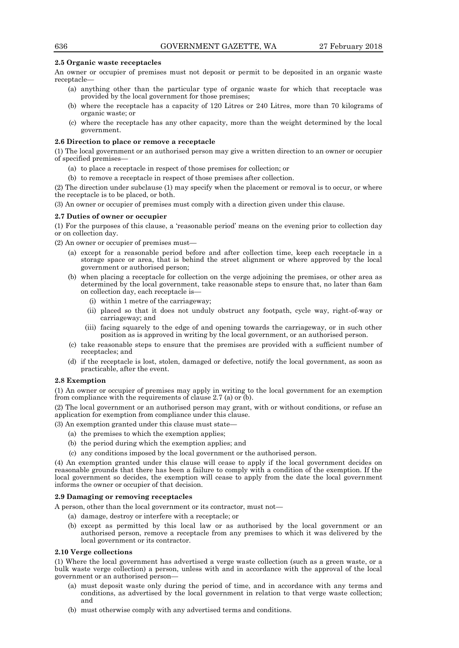#### **2.5 Organic waste receptacles**

An owner or occupier of premises must not deposit or permit to be deposited in an organic waste receptacle—

- (a) anything other than the particular type of organic waste for which that receptacle was provided by the local government for those premises;
- (b) where the receptacle has a capacity of 120 Litres or 240 Litres, more than 70 kilograms of organic waste; or
- (c) where the receptacle has any other capacity, more than the weight determined by the local government.

#### **2.6 Direction to place or remove a receptacle**

(1) The local government or an authorised person may give a written direction to an owner or occupier of specified premises—

- (a) to place a receptacle in respect of those premises for collection; or
- (b) to remove a receptacle in respect of those premises after collection.

(2) The direction under subclause (1) may specify when the placement or removal is to occur, or where the receptacle is to be placed, or both.

(3) An owner or occupier of premises must comply with a direction given under this clause.

#### **2.7 Duties of owner or occupier**

(1) For the purposes of this clause, a 'reasonable period' means on the evening prior to collection day or on collection day.

(2) An owner or occupier of premises must—

- (a) except for a reasonable period before and after collection time, keep each receptacle in a storage space or area, that is behind the street alignment or where approved by the local government or authorised person;
- (b) when placing a receptacle for collection on the verge adjoining the premises, or other area as determined by the local government, take reasonable steps to ensure that, no later than 6am on collection day, each receptacle is—
	- (i) within 1 metre of the carriageway;
	- (ii) placed so that it does not unduly obstruct any footpath, cycle way, right-of-way or carriageway; and
	- (iii) facing squarely to the edge of and opening towards the carriageway, or in such other position as is approved in writing by the local government, or an authorised person.
- (c) take reasonable steps to ensure that the premises are provided with a sufficient number of receptacles; and
- (d) if the receptacle is lost, stolen, damaged or defective, notify the local government, as soon as practicable, after the event.

#### **2.8 Exemption**

(1) An owner or occupier of premises may apply in writing to the local government for an exemption from compliance with the requirements of clause 2.7 (a) or (b).

(2) The local government or an authorised person may grant, with or without conditions, or refuse an application for exemption from compliance under this clause.

(3) An exemption granted under this clause must state—

- (a) the premises to which the exemption applies;
- (b) the period during which the exemption applies; and
- (c) any conditions imposed by the local government or the authorised person.

(4) An exemption granted under this clause will cease to apply if the local government decides on reasonable grounds that there has been a failure to comply with a condition of the exemption. If the local government so decides, the exemption will cease to apply from the date the local government informs the owner or occupier of that decision.

#### **2.9 Damaging or removing receptacles**

A person, other than the local government or its contractor, must not—

- (a) damage, destroy or interfere with a receptacle; or
- (b) except as permitted by this local law or as authorised by the local government or an authorised person, remove a receptacle from any premises to which it was delivered by the local government or its contractor.

#### **2.10 Verge collections**

(1) Where the local government has advertised a verge waste collection (such as a green waste, or a bulk waste verge collection) a person, unless with and in accordance with the approval of the local government or an authorised person—

- (a) must deposit waste only during the period of time, and in accordance with any terms and conditions, as advertised by the local government in relation to that verge waste collection; and
- (b) must otherwise comply with any advertised terms and conditions.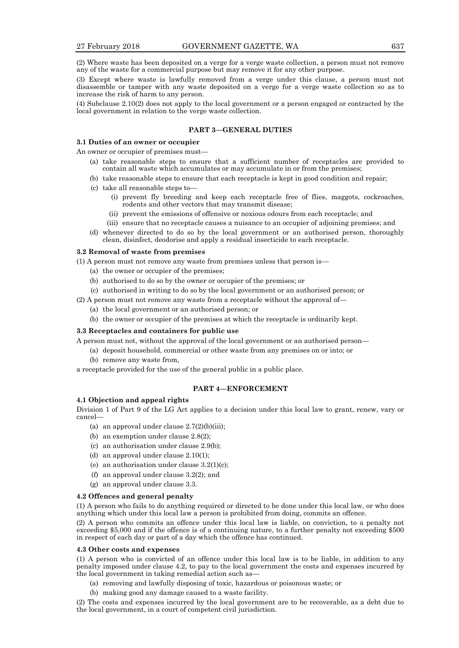(2) Where waste has been deposited on a verge for a verge waste collection, a person must not remove any of the waste for a commercial purpose but may remove it for any other purpose.

(3) Except where waste is lawfully removed from a verge under this clause, a person must not disassemble or tamper with any waste deposited on a verge for a verge waste collection so as to increase the risk of harm to any person.

(4) Subclause 2.10(2) does not apply to the local government or a person engaged or contracted by the local government in relation to the verge waste collection.

## **PART 3—GENERAL DUTIES**

#### **3.1 Duties of an owner or occupier**

An owner or occupier of premises must—

- (a) take reasonable steps to ensure that a sufficient number of receptacles are provided to contain all waste which accumulates or may accumulate in or from the premises;
- (b) take reasonable steps to ensure that each receptacle is kept in good condition and repair;
- (c) take all reasonable steps to—
	- (i) prevent fly breeding and keep each receptacle free of flies, maggots, cockroaches, rodents and other vectors that may transmit disease;
	- (ii) prevent the emissions of offensive or noxious odours from each receptacle; and
	- (iii) ensure that no receptacle causes a nuisance to an occupier of adjoining premises; and
- (d) whenever directed to do so by the local government or an authorised person, thoroughly clean, disinfect, deodorise and apply a residual insecticide to each receptacle.

#### **3.2 Removal of waste from premises**

(1) A person must not remove any waste from premises unless that person is—

- (a) the owner or occupier of the premises;
- (b) authorised to do so by the owner or occupier of the premises; or
- (c) authorised in writing to do so by the local government or an authorised person; or

(2) A person must not remove any waste from a receptacle without the approval of—

- (a) the local government or an authorised person; or
- (b) the owner or occupier of the premises at which the receptacle is ordinarily kept.

#### **3.3 Receptacles and containers for public use**

A person must not, without the approval of the local government or an authorised person—

- (a) deposit household, commercial or other waste from any premises on or into; or
- (b) remove any waste from,

a receptacle provided for the use of the general public in a public place.

#### **PART 4—ENFORCEMENT**

## **4.1 Objection and appeal rights**

Division 1 of Part 9 of the LG Act applies to a decision under this local law to grant, renew, vary or cancel—

- (a) an approval under clause  $2.7(2)(b)(iii)$ ;
- (b) an exemption under clause 2.8(2);
- (c) an authorisation under clause 2.9(b);
- (d) an approval under clause 2.10(1);
- (e) an authorisation under clause  $3.2(1)(c)$ ;
- (f) an approval under clause 3.2(2); and
- (g) an approval under clause 3.3.

#### **4.2 Offences and general penalty**

(1) A person who fails to do anything required or directed to be done under this local law, or who does anything which under this local law a person is prohibited from doing, commits an offence.

(2) A person who commits an offence under this local law is liable, on conviction, to a penalty not exceeding \$5,000 and if the offence is of a continuing nature, to a further penalty not exceeding \$500 in respect of each day or part of a day which the offence has continued.

#### **4.3 Other costs and expenses**

(1) A person who is convicted of an offence under this local law is to be liable, in addition to any penalty imposed under clause 4.2, to pay to the local government the costs and expenses incurred by the local government in taking remedial action such as—

- (a) removing and lawfully disposing of toxic, hazardous or poisonous waste; or
- (b) making good any damage caused to a waste facility.

(2) The costs and expenses incurred by the local government are to be recoverable, as a debt due to the local government, in a court of competent civil jurisdiction.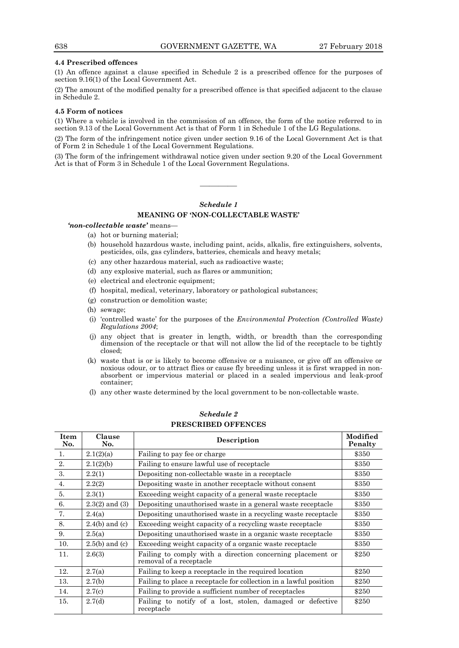#### **4.4 Prescribed offences**

(1) An offence against a clause specified in Schedule 2 is a prescribed offence for the purposes of section 9.16(1) of the Local Government Act.

(2) The amount of the modified penalty for a prescribed offence is that specified adjacent to the clause in Schedule 2.

#### **4.5 Form of notices**

(1) Where a vehicle is involved in the commission of an offence, the form of the notice referred to in section 9.13 of the Local Government Act is that of Form 1 in Schedule 1 of the LG Regulations.

(2) The form of the infringement notice given under section 9.16 of the Local Government Act is that of Form 2 in Schedule 1 of the Local Government Regulations.

(3) The form of the infringement withdrawal notice given under section 9.20 of the Local Government Act is that of Form 3 in Schedule 1 of the Local Government Regulations.

————

## *Schedule 1* **MEANING OF 'NON-COLLECTABLE WASTE'**

*'non-collectable waste'* means—

- (a) hot or burning material;
- (b) household hazardous waste, including paint, acids, alkalis, fire extinguishers, solvents, pesticides, oils, gas cylinders, batteries, chemicals and heavy metals;
- (c) any other hazardous material, such as radioactive waste;
- (d) any explosive material, such as flares or ammunition;
- (e) electrical and electronic equipment;
- (f) hospital, medical, veterinary, laboratory or pathological substances;
- (g) construction or demolition waste;
- (h) sewage;
- (i) 'controlled waste' for the purposes of the *Environmental Protection (Controlled Waste) Regulations 2004*;
- (j) any object that is greater in length, width, or breadth than the corresponding dimension of the receptacle or that will not allow the lid of the receptacle to be tightly closed;
- (k) waste that is or is likely to become offensive or a nuisance, or give off an offensive or noxious odour, or to attract flies or cause fly breeding unless it is first wrapped in nonabsorbent or impervious material or placed in a sealed impervious and leak-proof container;
- (l) any other waste determined by the local government to be non-collectable waste.

| <b>Item</b><br>No. | Clause<br>No.      | Description                                                                           | Modified<br>Penalty |
|--------------------|--------------------|---------------------------------------------------------------------------------------|---------------------|
| 1.                 | 2.1(2)(a)          | Failing to pay fee or charge                                                          | \$350               |
| 2.                 | 2.1(2)(b)          | Failing to ensure lawful use of receptacle                                            | \$350               |
| 3.                 | 2.2(1)             | Depositing non-collectable waste in a receptacle                                      | \$350               |
| 4.                 | 2.2(2)             | Depositing waste in another receptacle without consent                                | \$350               |
| 5.                 | 2.3(1)             | Exceeding weight capacity of a general waste receptacle                               | \$350               |
| 6.                 | $2.3(2)$ and $(3)$ | Depositing unauthorised waste in a general waste receptacle                           | \$350               |
| 7.                 | 2.4(a)             | Depositing unauthorised waste in a recycling waste receptacle                         | \$350               |
| 8.                 | $2.4(b)$ and (c)   | Exceeding weight capacity of a recycling waste receptacle                             | \$350               |
| 9.                 | 2.5(a)             | Depositing unauthorised waste in a organic waste receptacle                           | \$350               |
| 10.                | $2.5(b)$ and (c)   | Exceeding weight capacity of a organic waste receptacle                               | \$350               |
| 11.                | 2.6(3)             | Failing to comply with a direction concerning placement or<br>removal of a receptacle | \$250               |
| 12.                | 2.7(a)             | Failing to keep a receptacle in the required location                                 | \$250               |
| 13.                | 2.7(b)             | Failing to place a receptacle for collection in a lawful position                     | \$250               |
| 14.                | 2.7(c)             | Failing to provide a sufficient number of receptacles                                 | \$250               |
| 15.                | 2.7(d)             | Failing to notify of a lost, stolen, damaged or defective<br>receptacle               | \$250               |

## *Schedule 2* **PRESCRIBED OFFENCES**